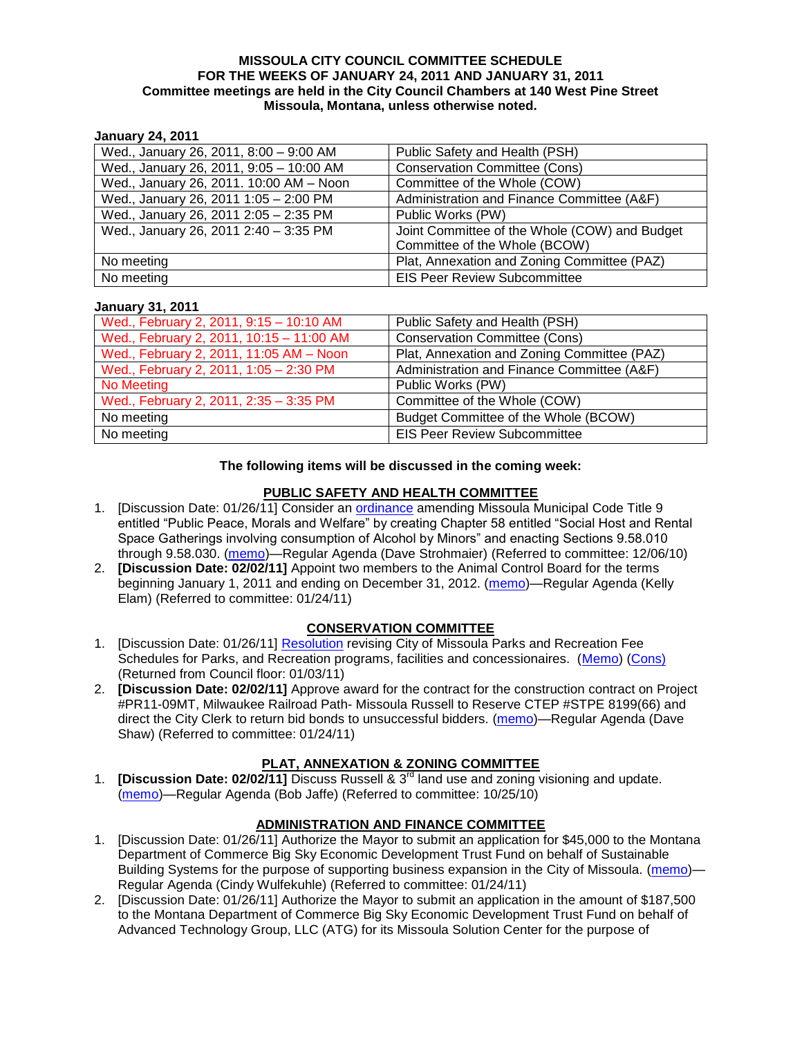#### **MISSOULA CITY COUNCIL COMMITTEE SCHEDULE FOR THE WEEKS OF JANUARY 24, 2011 AND JANUARY 31, 2011 Committee meetings are held in the City Council Chambers at 140 West Pine Street Missoula, Montana, unless otherwise noted.**

#### **January 24, 2011**

| Wed., January 26, 2011, 8:00 - 9:00 AM  | Public Safety and Health (PSH)                |
|-----------------------------------------|-----------------------------------------------|
| Wed., January 26, 2011, 9:05 - 10:00 AM | <b>Conservation Committee (Cons)</b>          |
| Wed., January 26, 2011. 10:00 AM - Noon | Committee of the Whole (COW)                  |
| Wed., January 26, 2011 1:05 - 2:00 PM   | Administration and Finance Committee (A&F)    |
| Wed., January 26, 2011 2:05 - 2:35 PM   | Public Works (PW)                             |
| Wed., January 26, 2011 2:40 - 3:35 PM   | Joint Committee of the Whole (COW) and Budget |
|                                         | Committee of the Whole (BCOW)                 |
| No meeting                              | Plat, Annexation and Zoning Committee (PAZ)   |
| No meeting                              | <b>EIS Peer Review Subcommittee</b>           |

#### **January 31, 2011**

| Wed., February 2, 2011, 9:15 - 10:10 AM  | Public Safety and Health (PSH)              |
|------------------------------------------|---------------------------------------------|
| Wed., February 2, 2011, 10:15 - 11:00 AM | <b>Conservation Committee (Cons)</b>        |
| Wed., February 2, 2011, 11:05 AM - Noon  | Plat, Annexation and Zoning Committee (PAZ) |
| Wed., February 2, 2011, 1:05 - 2:30 PM   | Administration and Finance Committee (A&F)  |
| No Meeting                               | Public Works (PW)                           |
| Wed., February 2, 2011, 2:35 - 3:35 PM   | Committee of the Whole (COW)                |
| No meeting                               | Budget Committee of the Whole (BCOW)        |
| No meeting                               | <b>EIS Peer Review Subcommittee</b>         |

#### **The following items will be discussed in the coming week:**

### **PUBLIC SAFETY AND HEALTH COMMITTEE**

- 1. [Discussion Date: 01/26/11] Consider an [ordinance](http://www.ci.missoula.mt.us/DocumentView.aspx?DID=5133) amending Missoula Municipal Code Title 9 entitled "Public Peace, Morals and Welfare" by creating Chapter 58 entitled "Social Host and Rental Space Gatherings involving consumption of Alcohol by Minors" and enacting Sections 9.58.010 through 9.58.030. [\(memo\)](http://www.ci.missoula.mt.us/DocumentView.aspx?DID=5149)—Regular Agenda (Dave Strohmaier) (Referred to committee: 12/06/10)
- 2. **[Discussion Date: 02/02/11]** Appoint two members to the Animal Control Board for the terms beginning January 1, 2011 and ending on December 31, 2012. [\(memo\)](http://www.ci.missoula.mt.us/DocumentView.aspx?DID=5424)—Regular Agenda (Kelly Elam) (Referred to committee: 01/24/11)

### **CONSERVATION COMMITTEE**

- 1. [Discussion Date: 01/26/11] [Resolution](http://www.ci.missoula.mt.us/DocumentView.aspx?DID=5179) revising City of Missoula Parks and Recreation Fee Schedules for Parks, and Recreation programs, facilities and concessionaires. [\(Memo\)](http://www.ci.missoula.mt.us/DocumentView.aspx?DID=5207) [\(Cons\)](http://www.ci.missoula.mt.us/Archive.aspx?ADID=3312) (Returned from Council floor: 01/03/11)
- 2. **[Discussion Date: 02/02/11]** Approve award for the contract for the construction contract on Project #PR11-09MT, Milwaukee Railroad Path- Missoula Russell to Reserve CTEP #STPE 8199(66) and direct the City Clerk to return bid bonds to unsuccessful bidders. [\(memo\)](http://www.ci.missoula.mt.us/DocumentView.aspx?DID=5446)—Regular Agenda (Dave Shaw) (Referred to committee: 01/24/11)

### **PLAT, ANNEXATION & ZONING COMMITTEE**

1. **[Discussion Date: 02/02/11]** Discuss Russell & 3rd land use and zoning visioning and update. [\(memo\)](http://www.ci.missoula.mt.us/DocumentView.aspx?DID=4864)—Regular Agenda (Bob Jaffe) (Referred to committee: 10/25/10)

# **ADMINISTRATION AND FINANCE COMMITTEE**

- 1. [Discussion Date: 01/26/11] Authorize the Mayor to submit an application for \$45,000 to the Montana Department of Commerce Big Sky Economic Development Trust Fund on behalf of Sustainable Building Systems for the purpose of supporting business expansion in the City of Missoula. [\(memo\)](http://www.ci.missoula.mt.us/DocumentView.aspx?DID=5428)— Regular Agenda (Cindy Wulfekuhle) (Referred to committee: 01/24/11)
- 2. [Discussion Date: 01/26/11] Authorize the Mayor to submit an application in the amount of \$187,500 to the Montana Department of Commerce Big Sky Economic Development Trust Fund on behalf of Advanced Technology Group, LLC (ATG) for its Missoula Solution Center for the purpose of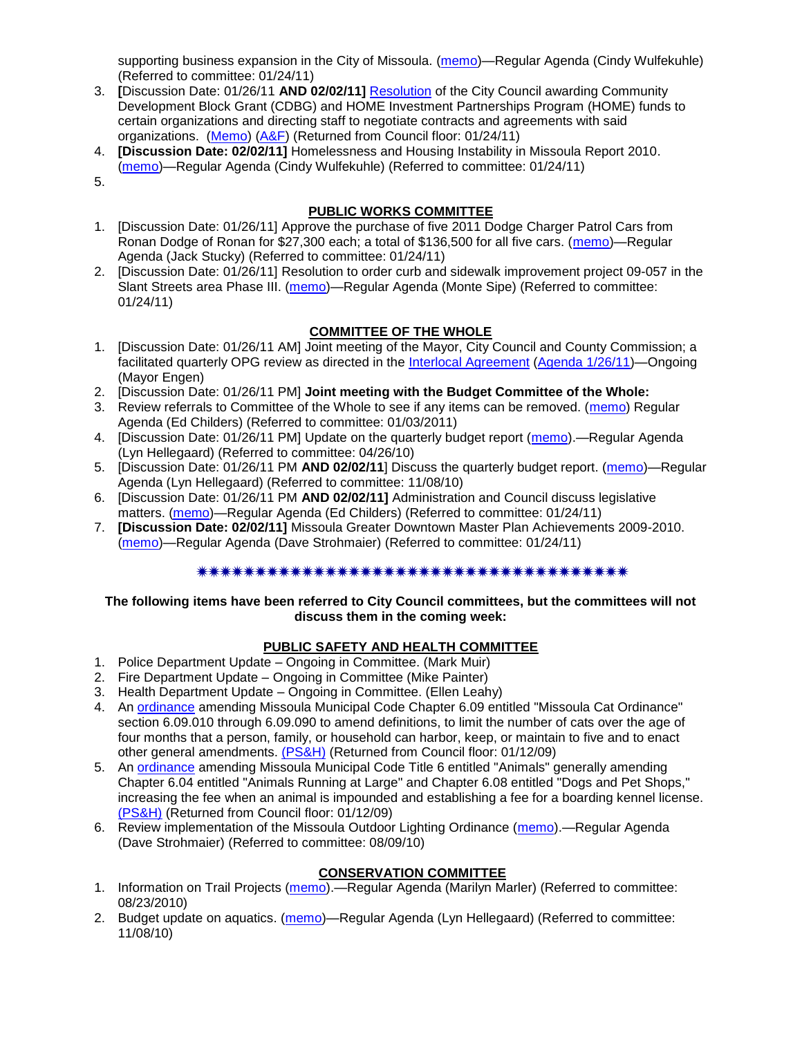supporting business expansion in the City of Missoula. [\(memo\)](http://www.ci.missoula.mt.us/DocumentView.aspx?DID=5429)—Regular Agenda (Cindy Wulfekuhle) (Referred to committee: 01/24/11)

- 3. **[**Discussion Date: 01/26/11 **AND 02/02/11]** [Resolution](http://www.ci.missoula.mt.us/DocumentView.aspx?DID=5282) of the City Council awarding Community Development Block Grant (CDBG) and HOME Investment Partnerships Program (HOME) funds to certain organizations and directing staff to negotiate contracts and agreements with said organizations. [\(Memo\)](http://www.ci.missoula.mt.us/DocumentView.aspx?DID=5306) [\(A&F\)](http://www.ci.missoula.mt.us/Archive.aspx?ADID=3366) (Returned from Council floor: 01/24/11)
- 4. **[Discussion Date: 02/02/11]** Homelessness and Housing Instability in Missoula Report 2010. [\(memo\)](http://www.ci.missoula.mt.us/DocumentView.aspx?DID=5427)—Regular Agenda (Cindy Wulfekuhle) (Referred to committee: 01/24/11)
- 5.

# **PUBLIC WORKS COMMITTEE**

- 1. [Discussion Date: 01/26/11] Approve the purchase of five 2011 Dodge Charger Patrol Cars from Ronan Dodge of Ronan for \$27,300 each; a total of \$136,500 for all five cars. [\(memo\)](http://www.ci.missoula.mt.us/DocumentView.aspx?DID=5417)—Regular Agenda (Jack Stucky) (Referred to committee: 01/24/11)
- 2. [Discussion Date: 01/26/11] Resolution to order curb and sidewalk improvement project 09-057 in the Slant Streets area Phase III. [\(memo\)](http://www.ci.missoula.mt.us/DocumentView.aspx?DID=5419)—Regular Agenda (Monte Sipe) (Referred to committee: 01/24/11)

# **COMMITTEE OF THE WHOLE**

- 1. [Discussion Date: 01/26/11 AM] Joint meeting of the Mayor, City Council and County Commission; a facilitated quarterly OPG review as directed in the [Interlocal Agreement](ftp://ftp.ci.missoula.mt.us/Documents/Mayor/OPG/Adopted-ILA-2005.pdf) [\(Agenda 1/26/11\)](http://www.ci.missoula.mt.us/DocumentView.aspx?DID=5466)—Ongoing (Mayor Engen)
- 2. [Discussion Date: 01/26/11 PM] **Joint meeting with the Budget Committee of the Whole:**
- 3. Review referrals to Committee of the Whole to see if any items can be removed. [\(memo\)](http://www.ci.missoula.mt.us/DocumentView.aspx?DID=5309) Regular Agenda (Ed Childers) (Referred to committee: 01/03/2011)
- 4. [Discussion Date: 01/26/11 PM] Update on the quarterly budget report [\(memo\)](http://www.ci.missoula.mt.us/DocumentView.aspx?DID=3554).—Regular Agenda (Lyn Hellegaard) (Referred to committee: 04/26/10)
- 5. [Discussion Date: 01/26/11 PM **AND 02/02/11**] Discuss the quarterly budget report. [\(memo\)](http://www.ci.missoula.mt.us/DocumentView.aspx?DID=4916)—Regular Agenda (Lyn Hellegaard) (Referred to committee: 11/08/10)
- 6. [Discussion Date: 01/26/11 PM **AND 02/02/11]** Administration and Council discuss legislative matters. [\(memo\)](http://www.ci.missoula.mt.us/DocumentView.aspx?DID=5433)—Regular Agenda (Ed Childers) (Referred to committee: 01/24/11)
- 7. **[Discussion Date: 02/02/11]** Missoula Greater Downtown Master Plan Achievements 2009-2010. [\(memo\)](http://www.ci.missoula.mt.us/DocumentView.aspx?DID=5426)—Regular Agenda (Dave Strohmaier) (Referred to committee: 01/24/11)

### 

#### **The following items have been referred to City Council committees, but the committees will not discuss them in the coming week:**

### **PUBLIC SAFETY AND HEALTH COMMITTEE**

- 1. Police Department Update Ongoing in Committee. (Mark Muir)
- 2. Fire Department Update Ongoing in Committee (Mike Painter)
- 3. Health Department Update Ongoing in Committee. (Ellen Leahy)
- 4. An [ordinance](ftp://ftp.ci.missoula.mt.us/Packets/Council/2008/2008-12-15/2008CatOrdinanceAmendment%5B1%5D.pdf) amending Missoula Municipal Code Chapter 6.09 entitled "Missoula Cat Ordinance" section 6.09.010 through 6.09.090 to amend definitions, to limit the number of cats over the age of four months that a person, family, or household can harbor, keep, or maintain to five and to enact other general amendments. [\(PS&H\)](ftp://ftp.ci.missoula.mt.us/Packets/Council/2008/2008-12-15/081210psh.pdf) (Returned from Council floor: 01/12/09)
- 5. An [ordinance](ftp://ftp.ci.missoula.mt.us/Packets/Council/2008/2008-12-15/DogOrdinance--PSHrevisions.pdf) amending Missoula Municipal Code Title 6 entitled "Animals" generally amending Chapter 6.04 entitled "Animals Running at Large" and Chapter 6.08 entitled "Dogs and Pet Shops," increasing the fee when an animal is impounded and establishing a fee for a boarding kennel license. [\(PS&H\)](ftp://ftp.ci.missoula.mt.us/Packets/Council/2008/2008-12-15/081210psh.pdf) (Returned from Council floor: 01/12/09)
- 6. Review implementation of the Missoula Outdoor Lighting Ordinance [\(memo\)](http://www.ci.missoula.mt.us/DocumentView.aspx?DID=4420).—Regular Agenda (Dave Strohmaier) (Referred to committee: 08/09/10)

### **CONSERVATION COMMITTEE**

- 1. Information on Trail Projects [\(memo\)](http://www.ci.missoula.mt.us/DocumentView.aspx?DID=4477).—Regular Agenda (Marilyn Marler) (Referred to committee: 08/23/2010)
- 2. Budget update on aquatics. [\(memo\)](http://www.ci.missoula.mt.us/DocumentView.aspx?DID=4917)—Regular Agenda (Lyn Hellegaard) (Referred to committee: 11/08/10)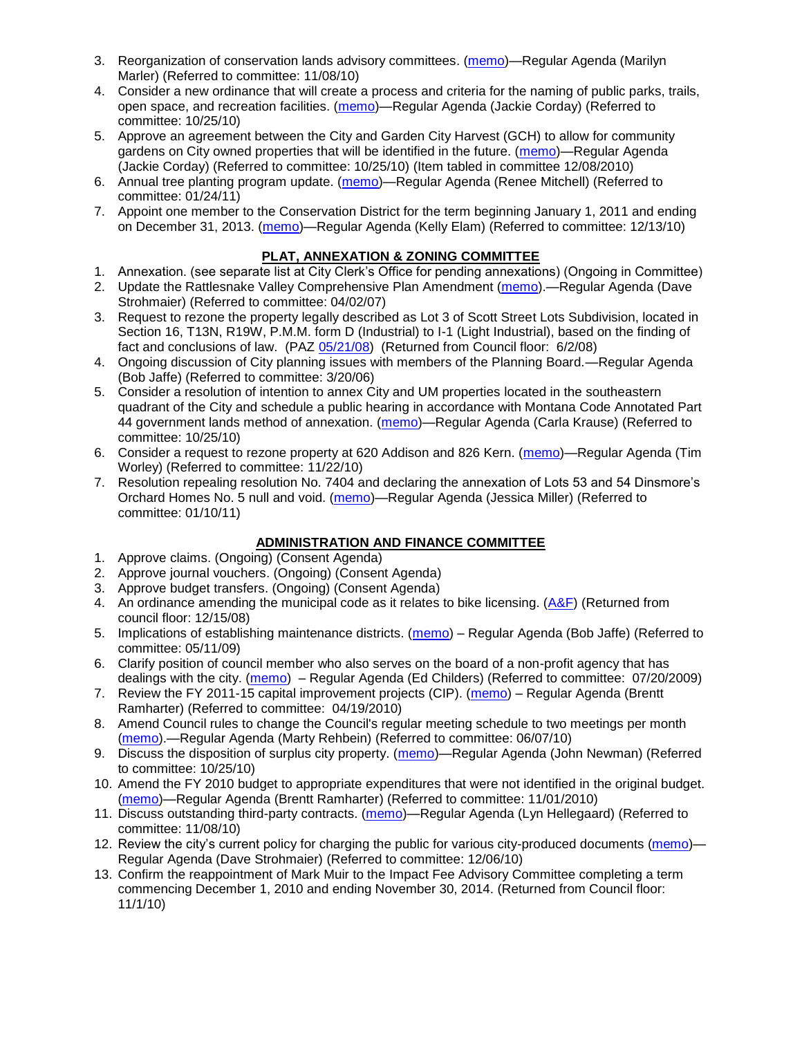- 3. Reorganization of conservation lands advisory committees. [\(memo\)](http://www.ci.missoula.mt.us/DocumentView.aspx?DID=4957)—Regular Agenda (Marilyn Marler) (Referred to committee: 11/08/10)
- 4. Consider a new ordinance that will create a process and criteria for the naming of public parks, trails, open space, and recreation facilities. [\(memo\)](http://www.ci.missoula.mt.us/DocumentView.aspx?DID=4848)—Regular Agenda (Jackie Corday) (Referred to committee: 10/25/10)
- 5. Approve an agreement between the City and Garden City Harvest (GCH) to allow for community gardens on City owned properties that will be identified in the future. [\(memo\)](http://www.ci.missoula.mt.us/DocumentView.aspx?DID=4847)—Regular Agenda (Jackie Corday) (Referred to committee: 10/25/10) (Item tabled in committee 12/08/2010)
- 6. Annual tree planting program update. [\(memo\)](http://www.ci.missoula.mt.us/DocumentView.aspx?DID=5425)—Regular Agenda (Renee Mitchell) (Referred to committee: 01/24/11)
- 7. Appoint one member to the Conservation District for the term beginning January 1, 2011 and ending on December 31, 2013. [\(memo\)](http://www.ci.missoula.mt.us/DocumentView.aspx?DID=5204)—Regular Agenda (Kelly Elam) (Referred to committee: 12/13/10)

### **PLAT, ANNEXATION & ZONING COMMITTEE**

- 1. Annexation. (see separate list at City Clerk's Office for pending annexations) (Ongoing in Committee)
- 2. Update the Rattlesnake Valley Comprehensive Plan Amendment [\(memo\)](ftp://ftp.ci.missoula.mt.us/Packets/Council/2007/2007-04-02/Referrals/Rattlesnake_Plan_Update_referral.pdf).—Regular Agenda (Dave Strohmaier) (Referred to committee: 04/02/07)
- 3. Request to rezone the property legally described as Lot 3 of Scott Street Lots Subdivision, located in Section 16, T13N, R19W, P.M.M. form D (Industrial) to I-1 (Light Industrial), based on the finding of fact and conclusions of law. (PAZ [05/21/08\)](ftp://ftp.ci.missoula.mt.us/Packets/Council/2008/2008-06-02/080521paz.pdf) (Returned from Council floor: 6/2/08)
- 4. Ongoing discussion of City planning issues with members of the Planning Board.—Regular Agenda (Bob Jaffe) (Referred to committee: 3/20/06)
- 5. Consider a resolution of intention to annex City and UM properties located in the southeastern quadrant of the City and schedule a public hearing in accordance with Montana Code Annotated Part 44 government lands method of annexation. [\(memo\)](http://www.ci.missoula.mt.us/DocumentView.aspx?DID=4845)—Regular Agenda (Carla Krause) (Referred to committee: 10/25/10)
- 6. Consider a request to rezone property at 620 Addison and 826 Kern. [\(memo\)](http://www.ci.missoula.mt.us/DocumentView.aspx?DID=5088)—Regular Agenda (Tim Worley) (Referred to committee: 11/22/10)
- 7. Resolution repealing resolution No. 7404 and declaring the annexation of Lots 53 and 54 Dinsmore's Orchard Homes No. 5 null and void. [\(memo\)](http://www.ci.missoula.mt.us/DocumentView.aspx?DID=5349)—Regular Agenda (Jessica Miller) (Referred to committee: 01/10/11)

# **ADMINISTRATION AND FINANCE COMMITTEE**

- 1. Approve claims. (Ongoing) (Consent Agenda)
- 2. Approve journal vouchers. (Ongoing) (Consent Agenda)
- 3. Approve budget transfers. (Ongoing) (Consent Agenda)
- 4. An ordinance amending the municipal code as it relates to bike licensing.  $(A\&F)$  (Returned from council floor: 12/15/08)
- 5. Implications of establishing maintenance districts. [\(memo\)](ftp://ftp.ci.missoula.mt.us/Packets/Council/2009/2009-05-11/Referrals/MaintenanceDistricts.pdf) Regular Agenda (Bob Jaffe) (Referred to committee: 05/11/09)
- 6. Clarify position of council member who also serves on the board of a non-profit agency that has dealings with the city. [\(memo\)](http://www.ci.missoula.mt.us/DocumentView.aspx?DID=1840) – Regular Agenda (Ed Childers) (Referred to committee: 07/20/2009)
- 7. Review the FY 2011-15 capital improvement projects (CIP). [\(memo\)](http://www.ci.missoula.mt.us/DocumentView.aspx?DID=3522) Regular Agenda (Brentt Ramharter) (Referred to committee: 04/19/2010)
- 8. Amend Council rules to change the Council's regular meeting schedule to two meetings per month [\(memo\)](http://www.ci.missoula.mt.us/DocumentView.aspx?DID=4027).—Regular Agenda (Marty Rehbein) (Referred to committee: 06/07/10)
- 9. Discuss the disposition of surplus city property. [\(memo\)](http://www.ci.missoula.mt.us/DocumentView.aspx?DID=4862)—Regular Agenda (John Newman) (Referred to committee: 10/25/10)
- 10. Amend the FY 2010 budget to appropriate expenditures that were not identified in the original budget. [\(memo\)](http://www.ci.missoula.mt.us/DocumentView.aspx?DID=4883)—Regular Agenda (Brentt Ramharter) (Referred to committee: 11/01/2010)
- 11. Discuss outstanding third-party contracts. [\(memo\)](http://www.ci.missoula.mt.us/DocumentView.aspx?DID=4956)—Regular Agenda (Lyn Hellegaard) (Referred to committee: 11/08/10)
- 12. Review the city's current policy for charging the public for various city-produced documents [\(memo\)](http://www.ci.missoula.mt.us/DocumentView.aspx?DID=5143) Regular Agenda (Dave Strohmaier) (Referred to committee: 12/06/10)
- 13. Confirm the reappointment of Mark Muir to the Impact Fee Advisory Committee completing a term commencing December 1, 2010 and ending November 30, 2014. (Returned from Council floor: 11/1/10)